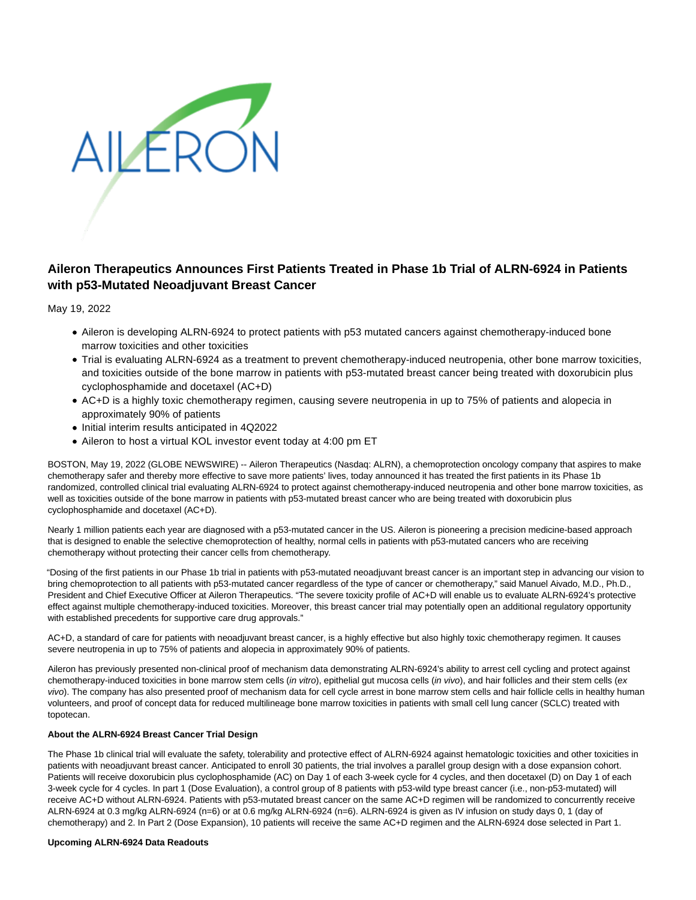

# **Aileron Therapeutics Announces First Patients Treated in Phase 1b Trial of ALRN-6924 in Patients with p53-Mutated Neoadjuvant Breast Cancer**

May 19, 2022

- Aileron is developing ALRN-6924 to protect patients with p53 mutated cancers against chemotherapy-induced bone marrow toxicities and other toxicities
- Trial is evaluating ALRN-6924 as a treatment to prevent chemotherapy-induced neutropenia, other bone marrow toxicities, and toxicities outside of the bone marrow in patients with p53-mutated breast cancer being treated with doxorubicin plus cyclophosphamide and docetaxel (AC+D)
- AC+D is a highly toxic chemotherapy regimen, causing severe neutropenia in up to 75% of patients and alopecia in approximately 90% of patients
- Initial interim results anticipated in 4Q2022
- Aileron to host a virtual KOL investor event today at 4:00 pm ET

BOSTON, May 19, 2022 (GLOBE NEWSWIRE) -- Aileron Therapeutics (Nasdaq: ALRN), a chemoprotection oncology company that aspires to make chemotherapy safer and thereby more effective to save more patients' lives, today announced it has treated the first patients in its Phase 1b randomized, controlled clinical trial evaluating ALRN-6924 to protect against chemotherapy-induced neutropenia and other bone marrow toxicities, as well as toxicities outside of the bone marrow in patients with p53-mutated breast cancer who are being treated with doxorubicin plus cyclophosphamide and docetaxel (AC+D).

Nearly 1 million patients each year are diagnosed with a p53-mutated cancer in the US. Aileron is pioneering a precision medicine-based approach that is designed to enable the selective chemoprotection of healthy, normal cells in patients with p53-mutated cancers who are receiving chemotherapy without protecting their cancer cells from chemotherapy.

"Dosing of the first patients in our Phase 1b trial in patients with p53-mutated neoadjuvant breast cancer is an important step in advancing our vision to bring chemoprotection to all patients with p53-mutated cancer regardless of the type of cancer or chemotherapy," said Manuel Aivado, M.D., Ph.D., President and Chief Executive Officer at Aileron Therapeutics. "The severe toxicity profile of AC+D will enable us to evaluate ALRN-6924's protective effect against multiple chemotherapy-induced toxicities. Moreover, this breast cancer trial may potentially open an additional regulatory opportunity with established precedents for supportive care drug approvals."

AC+D, a standard of care for patients with neoadjuvant breast cancer, is a highly effective but also highly toxic chemotherapy regimen. It causes severe neutropenia in up to 75% of patients and alopecia in approximately 90% of patients.

Aileron has previously presented non-clinical proof of mechanism data demonstrating ALRN-6924's ability to arrest cell cycling and protect against chemotherapy-induced toxicities in bone marrow stem cells (in vitro), epithelial gut mucosa cells (in vivo), and hair follicles and their stem cells (ex vivo). The company has also presented proof of mechanism data for cell cycle arrest in bone marrow stem cells and hair follicle cells in healthy human volunteers, and proof of concept data for reduced multilineage bone marrow toxicities in patients with small cell lung cancer (SCLC) treated with topotecan.

# **About the ALRN-6924 Breast Cancer Trial Design**

The Phase 1b clinical trial will evaluate the safety, tolerability and protective effect of ALRN-6924 against hematologic toxicities and other toxicities in patients with neoadjuvant breast cancer. Anticipated to enroll 30 patients, the trial involves a parallel group design with a dose expansion cohort. Patients will receive doxorubicin plus cyclophosphamide (AC) on Day 1 of each 3-week cycle for 4 cycles, and then docetaxel (D) on Day 1 of each 3-week cycle for 4 cycles. In part 1 (Dose Evaluation), a control group of 8 patients with p53-wild type breast cancer (i.e., non-p53-mutated) will receive AC+D without ALRN-6924. Patients with p53-mutated breast cancer on the same AC+D regimen will be randomized to concurrently receive ALRN-6924 at 0.3 mg/kg ALRN-6924 (n=6) or at 0.6 mg/kg ALRN-6924 (n=6). ALRN-6924 is given as IV infusion on study days 0, 1 (day of chemotherapy) and 2. In Part 2 (Dose Expansion), 10 patients will receive the same AC+D regimen and the ALRN-6924 dose selected in Part 1.

# **Upcoming ALRN-6924 Data Readouts**